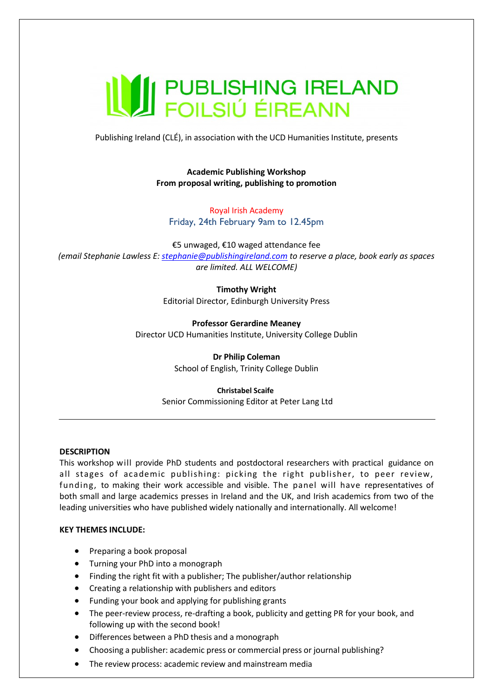# **WEDER AND FOILSILLE EN ELAND**

Publishing Ireland (CLÉ), in association with the UCD Humanities Institute, presents

**Academic Publishing Workshop From proposal writing, publishing to promotion**

Royal Irish Academy Friday, 24th February 9am to 12.45pm

€5 unwaged, €10 waged attendance fee *(email Stephanie Lawless E[: stephanie@publishingireland.com](mailto:stephanie@publishingireland.com) to reserve a place, book early as spaces are limited. ALL WELCOME)*

> **Timothy Wright** Editorial Director, Edinburgh University Press

**Professor Gerardine Meaney** Director UCD Humanities Institute, University College Dublin

> **Dr Philip Coleman**  School of English, Trinity College Dublin

**Christabel Scaife** Senior Commissioning Editor at Peter Lang Ltd

# **DESCRIPTION**

This workshop will provide PhD students and postdoctoral researchers with practical guidance on all stages of academic publishing: picking the right publisher, to peer review, funding, to making their work accessible and visible. The panel will have representatives of both small and large academics presses in Ireland and the UK, and Irish academics from two of the leading universities who have published widely nationally and internationally. All welcome!

# **KEY THEMES INCLUDE:**

- Preparing a book proposal
- Turning your PhD into a monograph
- Finding the right fit with a publisher; The publisher/author relationship
- Creating a relationship with publishers and editors
- Funding your book and applying for publishing grants
- The peer-review process, re-drafting a book, publicity and getting PR for your book, and following up with the second book!
- Differences between a PhD thesis and a monograph
- Choosing a publisher: academic press or commercial press or journal publishing?
- The review process: academic review and mainstream media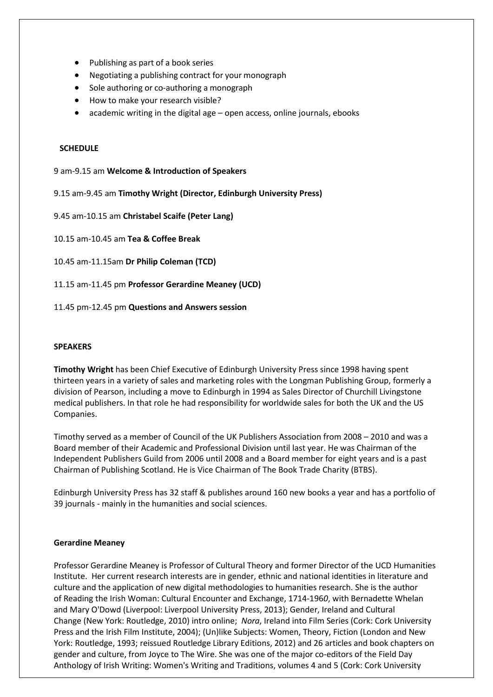- Publishing as part of a book series
- Negotiating a publishing contract for your monograph
- Sole authoring or co-authoring a monograph
- How to make your research visible?
- academic writing in the digital age open access, online journals, ebooks

## **SCHEDULE**

9 am-9.15 am **Welcome & Introduction of Speakers**

9.15 am-9.45 am **Timothy Wright (Director, Edinburgh University Press)**

9.45 am-10.15 am **Christabel Scaife (Peter Lang)**

10.15 am-10.45 am **Tea & Coffee Break**

10.45 am-11.15am **Dr Philip Coleman (TCD)**

11.15 am-11.45 pm **Professor Gerardine Meaney (UCD)**

11.45 pm-12.45 pm **Questions and Answers session**

### **SPEAKERS**

**Timothy Wright** has been Chief Executive of Edinburgh University Press since 1998 having spent thirteen years in a variety of sales and marketing roles with the Longman Publishing Group, formerly a division of Pearson, including a move to Edinburgh in 1994 as Sales Director of Churchill Livingstone medical publishers. In that role he had responsibility for worldwide sales for both the UK and the US Companies.

Timothy served as a member of Council of the UK Publishers Association from 2008 – 2010 and was a Board member of their Academic and Professional Division until last year. He was Chairman of the Independent Publishers Guild from 2006 until 2008 and a Board member for eight years and is a past Chairman of Publishing Scotland. He is Vice Chairman of The Book Trade Charity (BTBS).

Edinburgh University Press has 32 staff & publishes around 160 new books a year and has a portfolio of 39 journals - mainly in the humanities and social sciences.

### **Gerardine Meaney**

Professor Gerardine Meaney is Professor of Cultural Theory and former Director of the UCD Humanities Institute. Her current research interests are in gender, ethnic and national identities in literature and culture and the application of new digital methodologies to humanities research. She is the author of Reading the Irish Woman: Cultural Encounter and Exchange, 1714-196*0*, with Bernadette Whelan and Mary O'Dowd (Liverpool: Liverpool University Press, 2013); Gender, Ireland and Cultural Change (New York: Routledge, 2010) intro online; *Nora*, Ireland into Film Series (Cork: Cork University Press and the Irish Film Institute, 2004); (Un)like Subjects: Women, Theory, Fiction (London and New York: Routledge, 1993; reissued Routledge Library Editions, 2012) and 26 articles and book chapters on gender and culture, from Joyce to The Wire. She was one of the major co-editors of the Field Day Anthology of Irish Writing: Women's Writing and Traditions, volumes 4 and 5 (Cork: Cork University